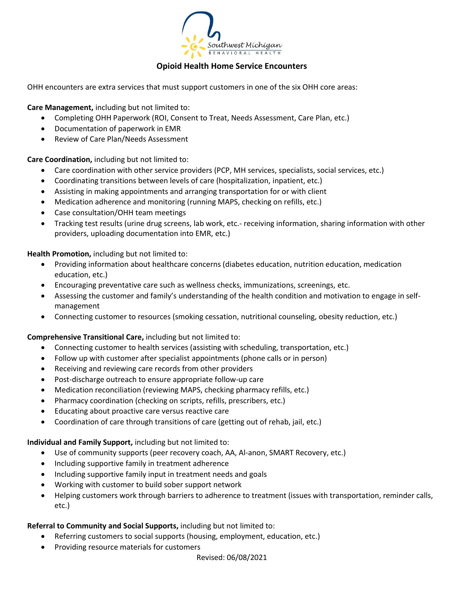

### **Opioid Health Home Service Encounters**

OHH encounters are extra services that must support customers in one of the six OHH core areas:

**Care Management,** including but not limited to:

- Completing OHH Paperwork (ROI, Consent to Treat, Needs Assessment, Care Plan, etc.)
- Documentation of paperwork in EMR
- Review of Care Plan/Needs Assessment

**Care Coordination,** including but not limited to:

- Care coordination with other service providers (PCP, MH services, specialists, social services, etc.)
- Coordinating transitions between levels of care (hospitalization, inpatient, etc.)
- Assisting in making appointments and arranging transportation for or with client
- Medication adherence and monitoring (running MAPS, checking on refills, etc.)
- Case consultation/OHH team meetings
- Tracking test results (urine drug screens, lab work, etc.- receiving information, sharing information with other providers, uploading documentation into EMR, etc.)

**Health Promotion,** including but not limited to:

- Providing information about healthcare concerns (diabetes education, nutrition education, medication education, etc.)
- Encouraging preventative care such as wellness checks, immunizations, screenings, etc.
- Assessing the customer and family's understanding of the health condition and motivation to engage in selfmanagement
- Connecting customer to resources (smoking cessation, nutritional counseling, obesity reduction, etc.)

#### **Comprehensive Transitional Care,** including but not limited to:

- Connecting customer to health services (assisting with scheduling, transportation, etc.)
- Follow up with customer after specialist appointments (phone calls or in person)
- Receiving and reviewing care records from other providers
- Post-discharge outreach to ensure appropriate follow-up care
- Medication reconciliation (reviewing MAPS, checking pharmacy refills, etc.)
- Pharmacy coordination (checking on scripts, refills, prescribers, etc.)
- Educating about proactive care versus reactive care
- Coordination of care through transitions of care (getting out of rehab, jail, etc.)

**Individual and Family Support,** including but not limited to:

- Use of community supports (peer recovery coach, AA, Al-anon, SMART Recovery, etc.)
- Including supportive family in treatment adherence
- Including supportive family input in treatment needs and goals
- Working with customer to build sober support network
- Helping customers work through barriers to adherence to treatment (issues with transportation, reminder calls, etc.)

### **Referral to Community and Social Supports,** including but not limited to:

- Referring customers to social supports (housing, employment, education, etc.)
- Providing resource materials for customers